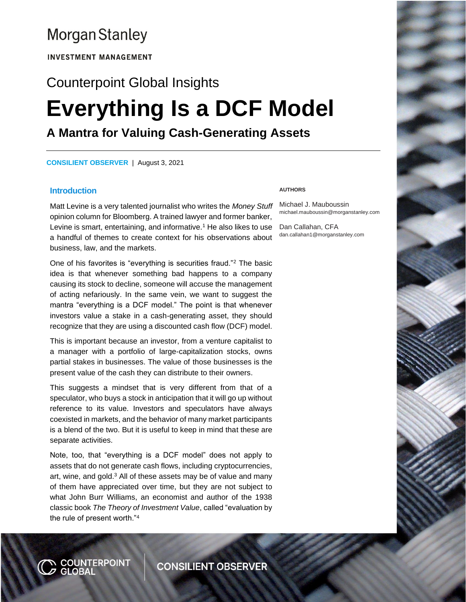# **Morgan Stanley**

**INVESTMENT MANAGEMENT** 

# Counterpoint Global Insights **Everything Is a DCF Model A Mantra for Valuing Cash-Generating Assets**

**CONSILIENT OBSERVER** | August 3, 2021

#### **Introduction**

Matt Levine is a very talented journalist who writes the *Money Stuff* opinion column for Bloomberg. A trained lawyer and former banker, Levine is smart, entertaining, and informative.<sup>1</sup> He also likes to use Dan Callahan, CFA a handful of themes to create context for his observations about business, law, and the markets.

One of his favorites is "everything is securities fraud."<sup>2</sup> The basic idea is that whenever something bad happens to a company causing its stock to decline, someone will accuse the management of acting nefariously. In the same vein, we want to suggest the mantra "everything is a DCF model." The point is that whenever investors value a stake in a cash-generating asset, they should recognize that they are using a discounted cash flow (DCF) model.

This is important because an investor, from a venture capitalist to a manager with a portfolio of large-capitalization stocks, owns partial stakes in businesses. The value of those businesses is the present value of the cash they can distribute to their owners.

This suggests a mindset that is very different from that of a speculator, who buys a stock in anticipation that it will go up without reference to its value. Investors and speculators have always coexisted in markets, and the behavior of many market participants is a blend of the two. But it is useful to keep in mind that these are separate activities.

Note, too, that "everything is a DCF model" does not apply to assets that do not generate cash flows, including cryptocurrencies, art, wine, and gold.<sup>3</sup> All of these assets may be of value and many of them have appreciated over time, but they are not subject to what John Burr Williams, an economist and author of the 1938 classic book *The Theory of Investment Value*, called "evaluation by the rule of present worth."<sup>4</sup>

N <mark>COUNTERP</mark>OINT<br>Ø GLOBAL

#### **AUTHORS**

Michael J. Mauboussin michael.mauboussin@morganstanley.com

dan.callahan1@morganstanley.com

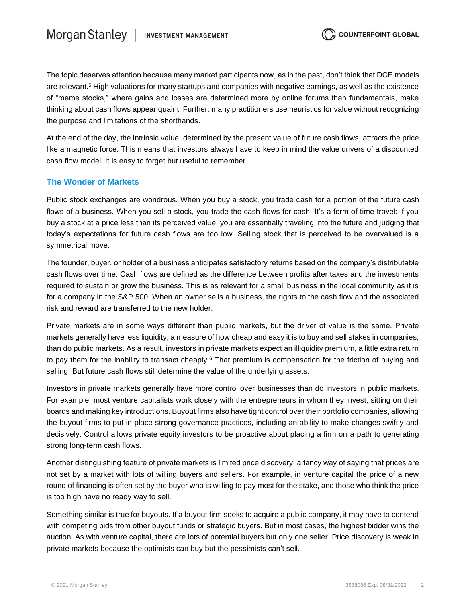The topic deserves attention because many market participants now, as in the past, don't think that DCF models are relevant.<sup>5</sup> High valuations for many startups and companies with negative earnings, as well as the existence of "meme stocks," where gains and losses are determined more by online forums than fundamentals, make thinking about cash flows appear quaint. Further, many practitioners use heuristics for value without recognizing the purpose and limitations of the shorthands.

At the end of the day, the intrinsic value, determined by the present value of future cash flows, attracts the price like a magnetic force. This means that investors always have to keep in mind the value drivers of a discounted cash flow model. It is easy to forget but useful to remember.

# **The Wonder of Markets**

Public stock exchanges are wondrous. When you buy a stock, you trade cash for a portion of the future cash flows of a business. When you sell a stock, you trade the cash flows for cash. It's a form of time travel: if you buy a stock at a price less than its perceived value, you are essentially traveling into the future and judging that today's expectations for future cash flows are too low. Selling stock that is perceived to be overvalued is a symmetrical move.

The founder, buyer, or holder of a business anticipates satisfactory returns based on the company's distributable cash flows over time. Cash flows are defined as the difference between profits after taxes and the investments required to sustain or grow the business. This is as relevant for a small business in the local community as it is for a company in the S&P 500. When an owner sells a business, the rights to the cash flow and the associated risk and reward are transferred to the new holder.

Private markets are in some ways different than public markets, but the driver of value is the same. Private markets generally have less liquidity, a measure of how cheap and easy it is to buy and sell stakes in companies, than do public markets. As a result, investors in private markets expect an illiquidity premium, a little extra return to pay them for the inability to transact cheaply.<sup>6</sup> That premium is compensation for the friction of buying and selling. But future cash flows still determine the value of the underlying assets.

Investors in private markets generally have more control over businesses than do investors in public markets. For example, most venture capitalists work closely with the entrepreneurs in whom they invest, sitting on their boards and making key introductions. Buyout firms also have tight control over their portfolio companies, allowing the buyout firms to put in place strong governance practices, including an ability to make changes swiftly and decisively. Control allows private equity investors to be proactive about placing a firm on a path to generating strong long-term cash flows.

Another distinguishing feature of private markets is limited price discovery, a fancy way of saying that prices are not set by a market with lots of willing buyers and sellers. For example, in venture capital the price of a new round of financing is often set by the buyer who is willing to pay most for the stake, and those who think the price is too high have no ready way to sell.

Something similar is true for buyouts. If a buyout firm seeks to acquire a public company, it may have to contend with competing bids from other buyout funds or strategic buyers. But in most cases, the highest bidder wins the auction. As with venture capital, there are lots of potential buyers but only one seller. Price discovery is weak in private markets because the optimists can buy but the pessimists can't sell.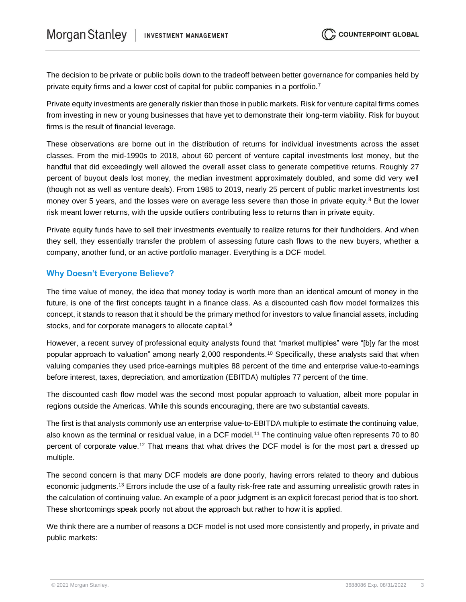The decision to be private or public boils down to the tradeoff between better governance for companies held by private equity firms and a lower cost of capital for public companies in a portfolio.<sup>7</sup>

Private equity investments are generally riskier than those in public markets. Risk for venture capital firms comes from investing in new or young businesses that have yet to demonstrate their long-term viability. Risk for buyout firms is the result of financial leverage.

These observations are borne out in the distribution of returns for individual investments across the asset classes. From the mid-1990s to 2018, about 60 percent of venture capital investments lost money, but the handful that did exceedingly well allowed the overall asset class to generate competitive returns. Roughly 27 percent of buyout deals lost money, the median investment approximately doubled, and some did very well (though not as well as venture deals). From 1985 to 2019, nearly 25 percent of public market investments lost money over 5 years, and the losses were on average less severe than those in private equity.<sup>8</sup> But the lower risk meant lower returns, with the upside outliers contributing less to returns than in private equity.

Private equity funds have to sell their investments eventually to realize returns for their fundholders. And when they sell, they essentially transfer the problem of assessing future cash flows to the new buyers, whether a company, another fund, or an active portfolio manager. Everything is a DCF model.

# **Why Doesn't Everyone Believe?**

The time value of money, the idea that money today is worth more than an identical amount of money in the future, is one of the first concepts taught in a finance class. As a discounted cash flow model formalizes this concept, it stands to reason that it should be the primary method for investors to value financial assets, including stocks, and for corporate managers to allocate capital.<sup>9</sup>

However, a recent survey of professional equity analysts found that "market multiples" were "[b]y far the most popular approach to valuation" among nearly 2,000 respondents.<sup>10</sup> Specifically, these analysts said that when valuing companies they used price-earnings multiples 88 percent of the time and enterprise value-to-earnings before interest, taxes, depreciation, and amortization (EBITDA) multiples 77 percent of the time.

The discounted cash flow model was the second most popular approach to valuation, albeit more popular in regions outside the Americas. While this sounds encouraging, there are two substantial caveats.

The first is that analysts commonly use an enterprise value-to-EBITDA multiple to estimate the continuing value, also known as the terminal or residual value, in a DCF model.<sup>11</sup> The continuing value often represents 70 to 80 percent of corporate value.<sup>12</sup> That means that what drives the DCF model is for the most part a dressed up multiple.

The second concern is that many DCF models are done poorly, having errors related to theory and dubious economic judgments.<sup>13</sup> Errors include the use of a faulty risk-free rate and assuming unrealistic growth rates in the calculation of continuing value. An example of a poor judgment is an explicit forecast period that is too short. These shortcomings speak poorly not about the approach but rather to how it is applied.

We think there are a number of reasons a DCF model is not used more consistently and properly, in private and public markets: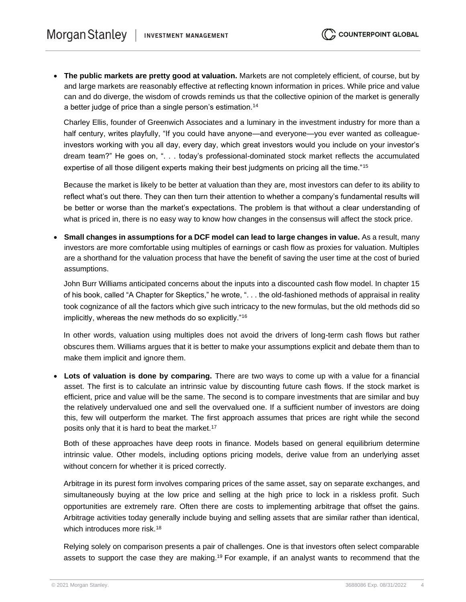• **The public markets are pretty good at valuation.** Markets are not completely efficient, of course, but by and large markets are reasonably effective at reflecting known information in prices. While price and value can and do diverge, the wisdom of crowds reminds us that the collective opinion of the market is generally a better judge of price than a single person's estimation.<sup>14</sup>

Charley Ellis, founder of Greenwich Associates and a luminary in the investment industry for more than a half century, writes playfully, "If you could have anyone—and everyone—you ever wanted as colleagueinvestors working with you all day, every day, which great investors would you include on your investor's dream team?" He goes on, ". . . today's professional-dominated stock market reflects the accumulated expertise of all those diligent experts making their best judgments on pricing all the time."<sup>15</sup>

Because the market is likely to be better at valuation than they are, most investors can defer to its ability to reflect what's out there. They can then turn their attention to whether a company's fundamental results will be better or worse than the market's expectations. The problem is that without a clear understanding of what is priced in, there is no easy way to know how changes in the consensus will affect the stock price.

• **Small changes in assumptions for a DCF model can lead to large changes in value.** As a result, many investors are more comfortable using multiples of earnings or cash flow as proxies for valuation. Multiples are a shorthand for the valuation process that have the benefit of saving the user time at the cost of buried assumptions.

John Burr Williams anticipated concerns about the inputs into a discounted cash flow model. In chapter 15 of his book, called "A Chapter for Skeptics," he wrote, ". . . the old-fashioned methods of appraisal in reality took cognizance of all the factors which give such intricacy to the new formulas, but the old methods did so implicitly, whereas the new methods do so explicitly."<sup>16</sup>

In other words, valuation using multiples does not avoid the drivers of long-term cash flows but rather obscures them. Williams argues that it is better to make your assumptions explicit and debate them than to make them implicit and ignore them.

• **Lots of valuation is done by comparing.** There are two ways to come up with a value for a financial asset. The first is to calculate an intrinsic value by discounting future cash flows. If the stock market is efficient, price and value will be the same. The second is to compare investments that are similar and buy the relatively undervalued one and sell the overvalued one. If a sufficient number of investors are doing this, few will outperform the market. The first approach assumes that prices are right while the second posits only that it is hard to beat the market.<sup>17</sup>

Both of these approaches have deep roots in finance. Models based on general equilibrium determine intrinsic value. Other models, including options pricing models, derive value from an underlying asset without concern for whether it is priced correctly.

Arbitrage in its purest form involves comparing prices of the same asset, say on separate exchanges, and simultaneously buying at the low price and selling at the high price to lock in a riskless profit. Such opportunities are extremely rare. Often there are costs to implementing arbitrage that offset the gains. Arbitrage activities today generally include buying and selling assets that are similar rather than identical, which introduces more risk.<sup>18</sup>

Relying solely on comparison presents a pair of challenges. One is that investors often select comparable assets to support the case they are making.<sup>19</sup> For example, if an analyst wants to recommend that the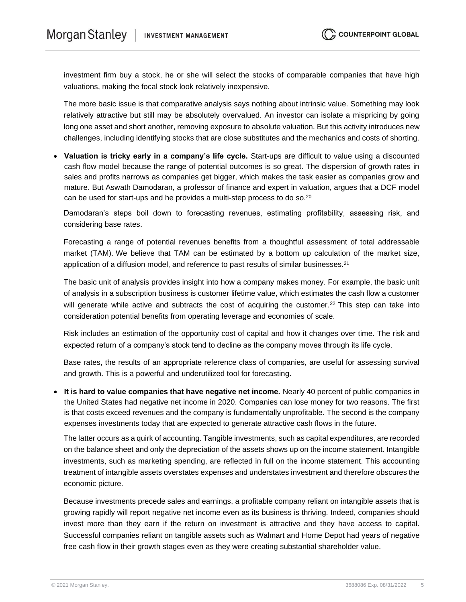investment firm buy a stock, he or she will select the stocks of comparable companies that have high valuations, making the focal stock look relatively inexpensive.

The more basic issue is that comparative analysis says nothing about intrinsic value. Something may look relatively attractive but still may be absolutely overvalued. An investor can isolate a mispricing by going long one asset and short another, removing exposure to absolute valuation. But this activity introduces new challenges, including identifying stocks that are close substitutes and the mechanics and costs of shorting.

• **Valuation is tricky early in a company's life cycle.** Start-ups are difficult to value using a discounted cash flow model because the range of potential outcomes is so great. The dispersion of growth rates in sales and profits narrows as companies get bigger, which makes the task easier as companies grow and mature. But Aswath Damodaran, a professor of finance and expert in valuation, argues that a DCF model can be used for start-ups and he provides a multi-step process to do so.<sup>20</sup>

Damodaran's steps boil down to forecasting revenues, estimating profitability, assessing risk, and considering base rates.

Forecasting a range of potential revenues benefits from a thoughtful assessment of total addressable market (TAM). We believe that TAM can be estimated by a bottom up calculation of the market size, application of a diffusion model, and reference to past results of similar businesses.<sup>21</sup>

The basic unit of analysis provides insight into how a company makes money. For example, the basic unit of analysis in a subscription business is customer lifetime value, which estimates the cash flow a customer will generate while active and subtracts the cost of acquiring the customer.<sup>22</sup> This step can take into consideration potential benefits from operating leverage and economies of scale.

Risk includes an estimation of the opportunity cost of capital and how it changes over time. The risk and expected return of a company's stock tend to decline as the company moves through its life cycle.

Base rates, the results of an appropriate reference class of companies, are useful for assessing survival and growth. This is a powerful and underutilized tool for forecasting.

• **It is hard to value companies that have negative net income.** Nearly 40 percent of public companies in the United States had negative net income in 2020. Companies can lose money for two reasons. The first is that costs exceed revenues and the company is fundamentally unprofitable. The second is the company expenses investments today that are expected to generate attractive cash flows in the future.

The latter occurs as a quirk of accounting. Tangible investments, such as capital expenditures, are recorded on the balance sheet and only the depreciation of the assets shows up on the income statement. Intangible investments, such as marketing spending, are reflected in full on the income statement. This accounting treatment of intangible assets overstates expenses and understates investment and therefore obscures the economic picture.

Because investments precede sales and earnings, a profitable company reliant on intangible assets that is growing rapidly will report negative net income even as its business is thriving. Indeed, companies should invest more than they earn if the return on investment is attractive and they have access to capital. Successful companies reliant on tangible assets such as Walmart and Home Depot had years of negative free cash flow in their growth stages even as they were creating substantial shareholder value.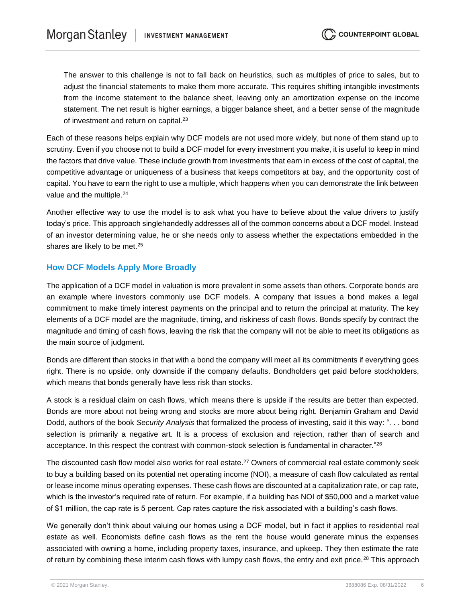The answer to this challenge is not to fall back on heuristics, such as multiples of price to sales, but to adjust the financial statements to make them more accurate. This requires shifting intangible investments from the income statement to the balance sheet, leaving only an amortization expense on the income statement. The net result is higher earnings, a bigger balance sheet, and a better sense of the magnitude of investment and return on capital.<sup>23</sup>

Each of these reasons helps explain why DCF models are not used more widely, but none of them stand up to scrutiny. Even if you choose not to build a DCF model for every investment you make, it is useful to keep in mind the factors that drive value. These include growth from investments that earn in excess of the cost of capital, the competitive advantage or uniqueness of a business that keeps competitors at bay, and the opportunity cost of capital. You have to earn the right to use a multiple, which happens when you can demonstrate the link between value and the multiple.<sup>24</sup>

Another effective way to use the model is to ask what you have to believe about the value drivers to justify today's price. This approach singlehandedly addresses all of the common concerns about a DCF model. Instead of an investor determining value, he or she needs only to assess whether the expectations embedded in the shares are likely to be met.<sup>25</sup>

### **How DCF Models Apply More Broadly**

The application of a DCF model in valuation is more prevalent in some assets than others. Corporate bonds are an example where investors commonly use DCF models. A company that issues a bond makes a legal commitment to make timely interest payments on the principal and to return the principal at maturity. The key elements of a DCF model are the magnitude, timing, and riskiness of cash flows. Bonds specify by contract the magnitude and timing of cash flows, leaving the risk that the company will not be able to meet its obligations as the main source of judgment.

Bonds are different than stocks in that with a bond the company will meet all its commitments if everything goes right. There is no upside, only downside if the company defaults. Bondholders get paid before stockholders, which means that bonds generally have less risk than stocks.

A stock is a residual claim on cash flows, which means there is upside if the results are better than expected. Bonds are more about not being wrong and stocks are more about being right. Benjamin Graham and David Dodd, authors of the book *Security Analysis* that formalized the process of investing, said it this way: ". . . bond selection is primarily a negative art. It is a process of exclusion and rejection, rather than of search and acceptance. In this respect the contrast with common-stock selection is fundamental in character."<sup>26</sup>

The discounted cash flow model also works for real estate.<sup>27</sup> Owners of commercial real estate commonly seek to buy a building based on its potential net operating income (NOI), a measure of cash flow calculated as rental or lease income minus operating expenses. These cash flows are discounted at a capitalization rate, or cap rate, which is the investor's required rate of return. For example, if a building has NOI of \$50,000 and a market value of \$1 million, the cap rate is 5 percent. Cap rates capture the risk associated with a building's cash flows.

We generally don't think about valuing our homes using a DCF model, but in fact it applies to residential real estate as well. Economists define cash flows as the rent the house would generate minus the expenses associated with owning a home, including property taxes, insurance, and upkeep. They then estimate the rate of return by combining these interim cash flows with lumpy cash flows, the entry and exit price.<sup>28</sup> This approach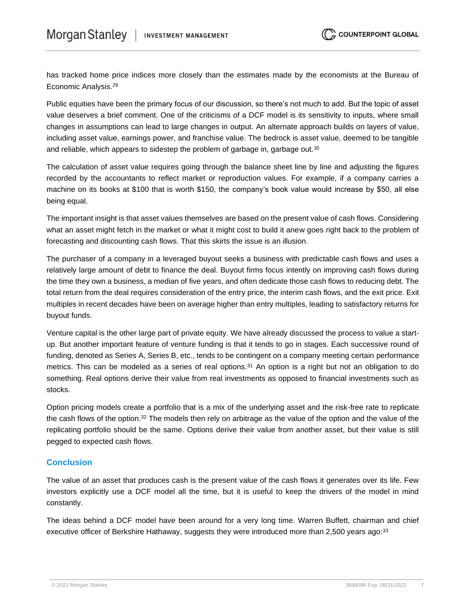has tracked home price indices more closely than the estimates made by the economists at the Bureau of Economic Analysis.<sup>29</sup>

Public equities have been the primary focus of our discussion, so there's not much to add. But the topic of asset value deserves a brief comment. One of the criticisms of a DCF model is its sensitivity to inputs, where small changes in assumptions can lead to large changes in output. An alternate approach builds on layers of value, including asset value, earnings power, and franchise value. The bedrock is asset value, deemed to be tangible and reliable, which appears to sidestep the problem of garbage in, garbage out.<sup>30</sup>

The calculation of asset value requires going through the balance sheet line by line and adjusting the figures recorded by the accountants to reflect market or reproduction values. For example, if a company carries a machine on its books at \$100 that is worth \$150, the company's book value would increase by \$50, all else being equal.

The important insight is that asset values themselves are based on the present value of cash flows. Considering what an asset might fetch in the market or what it might cost to build it anew goes right back to the problem of forecasting and discounting cash flows. That this skirts the issue is an illusion.

The purchaser of a company in a leveraged buyout seeks a business with predictable cash flows and uses a relatively large amount of debt to finance the deal. Buyout firms focus intently on improving cash flows during the time they own a business, a median of five years, and often dedicate those cash flows to reducing debt. The total return from the deal requires consideration of the entry price, the interim cash flows, and the exit price. Exit multiples in recent decades have been on average higher than entry multiples, leading to satisfactory returns for buyout funds.

Venture capital is the other large part of private equity. We have already discussed the process to value a startup. But another important feature of venture funding is that it tends to go in stages. Each successive round of funding, denoted as Series A, Series B, etc., tends to be contingent on a company meeting certain performance metrics. This can be modeled as a series of real options.<sup>31</sup> An option is a right but not an obligation to do something. Real options derive their value from real investments as opposed to financial investments such as stocks.

Option pricing models create a portfolio that is a mix of the underlying asset and the risk-free rate to replicate the cash flows of the option.<sup>32</sup> The models then rely on arbitrage as the value of the option and the value of the replicating portfolio should be the same. Options derive their value from another asset, but their value is still pegged to expected cash flows.

# **Conclusion**

The value of an asset that produces cash is the present value of the cash flows it generates over its life. Few investors explicitly use a DCF model all the time, but it is useful to keep the drivers of the model in mind constantly.

The ideas behind a DCF model have been around for a very long time. Warren Buffett, chairman and chief executive officer of Berkshire Hathaway, suggests they were introduced more than 2,500 years ago:<sup>33</sup>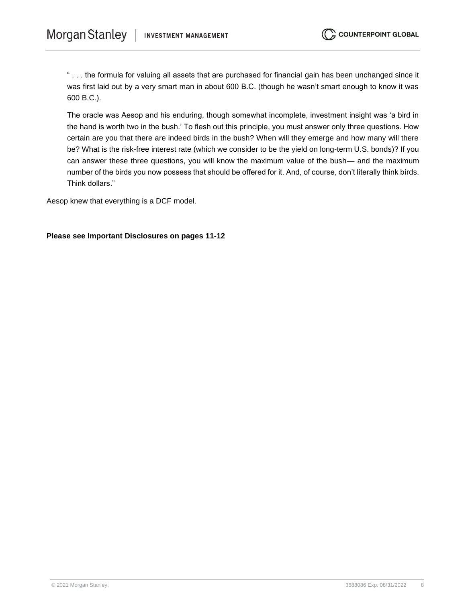" . . . the formula for valuing all assets that are purchased for financial gain has been unchanged since it was first laid out by a very smart man in about 600 B.C. (though he wasn't smart enough to know it was 600 B.C.).

The oracle was Aesop and his enduring, though somewhat incomplete, investment insight was 'a bird in the hand is worth two in the bush.' To flesh out this principle, you must answer only three questions. How certain are you that there are indeed birds in the bush? When will they emerge and how many will there be? What is the risk-free interest rate (which we consider to be the yield on long-term U.S. bonds)? If you can answer these three questions, you will know the maximum value of the bush— and the maximum number of the birds you now possess that should be offered for it. And, of course, don't literally think birds. Think dollars."

Aesop knew that everything is a DCF model.

#### **Please see Important Disclosures on pages 11-12**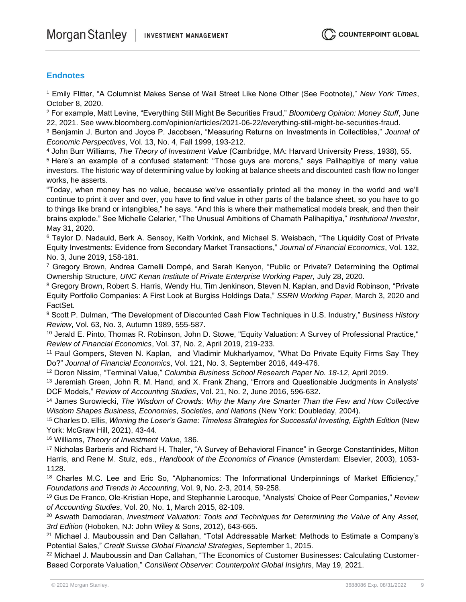# **Endnotes**

<sup>1</sup> Emily Flitter, "A Columnist Makes Sense of Wall Street Like None Other (See Footnote)," *New York Times*, October 8, 2020.

<sup>2</sup> For example, Matt Levine, "Everything Still Might Be Securities Fraud," *Bloomberg Opinion: Money Stuff*, June 22, 2021. See www.bloomberg.com/opinion/articles/2021-06-22/everything-still-might-be-securities-fraud.

<sup>3</sup> Benjamin J. Burton and Joyce P. Jacobsen, "Measuring Returns on Investments in Collectibles," *Journal of Economic Perspectives*, Vol. 13, No. 4, Fall 1999, 193-212.

<sup>4</sup> John Burr Williams, *The Theory of Investment Value* (Cambridge, MA: Harvard University Press, 1938), 55.

<sup>5</sup> Here's an example of a confused statement: "Those guys are morons," says Palihapitiya of many value investors. The historic way of determining value by looking at balance sheets and discounted cash flow no longer works, he asserts.

"Today, when money has no value, because we've essentially printed all the money in the world and we'll continue to print it over and over, you have to find value in other parts of the balance sheet, so you have to go to things like brand or intangibles," he says. "And this is where their mathematical models break, and then their brains explode." See Michelle Celarier, "The Unusual Ambitions of Chamath Palihapitiya," *Institutional Investor*, May 31, 2020.

<sup>6</sup> Taylor D. Nadauld, Berk A. Sensoy, Keith Vorkink, and Michael S. Weisbach, "The Liquidity Cost of Private Equity Investments: Evidence from Secondary Market Transactions," *Journal of Financial Economics*, Vol. 132, No. 3, June 2019, 158-181.

<sup>7</sup> Gregory Brown, Andrea Carnelli Dompé, and Sarah Kenyon, "Public or Private? Determining the Optimal Ownership Structure, *UNC Kenan Institute of Private Enterprise Working Paper,* July 28, 2020.

<sup>8</sup> Gregory Brown, Robert S. Harris, Wendy Hu, Tim Jenkinson, Steven N. Kaplan, and David Robinson, "Private Equity Portfolio Companies: A First Look at Burgiss Holdings Data," *SSRN Working Paper*, March 3, 2020 and FactSet.

<sup>9</sup> Scott P. Dulman, "The Development of Discounted Cash Flow Techniques in U.S. Industry," *Business History Review*, Vol. 63, No. 3, Autumn 1989, 555-587.

<sup>10</sup> Jerald E. Pinto, Thomas R. Robinson, John D. Stowe, "Equity Valuation: A Survey of Professional Practice," *Review of Financial Economics*, Vol. 37, No. 2, April 2019, 219-233.

<sup>11</sup> Paul Gompers, Steven N. Kaplan, and Vladimir Mukharlyamov, "What Do Private Equity Firms Say They Do?" *Journal of Financial Economics*, Vol. 121, No. 3, September 2016, 449-476.

<sup>12</sup> Doron Nissim, "Terminal Value," *Columbia Business School Research Paper No. 18-12*, April 2019.

<sup>13</sup> Jeremiah Green, John R. M. Hand, and X. Frank Zhang, "Errors and Questionable Judgments in Analysts' DCF Models," *Review of Accounting Studies*, Vol. 21, No. 2, June 2016, 596-632.

<sup>14</sup> James Surowiecki, *The Wisdom of Crowds: Why the Many Are Smarter Than the Few and How Collective Wisdom Shapes Business, Economies, Societies, and Nations* (New York: Doubleday, 2004).

<sup>15</sup> Charles D. Ellis, *Winning the Loser's Game: Timeless Strategies for Successful Investing, Eighth Edition* (New York: McGraw Hill, 2021), 43-44.

<sup>16</sup> Williams, *Theory of Investment Value*, 186.

<sup>17</sup> Nicholas Barberis and Richard H. Thaler, "A Survey of Behavioral Finance" in George Constantinides, Milton Harris, and Rene M. Stulz, eds., *Handbook of the Economics of Finance* (Amsterdam: Elsevier, 2003), 1053- 1128.

18 Charles M.C. Lee and Eric So, "Alphanomics: The Informational Underpinnings of Market Efficiency," *Foundations and Trends in Accounting*, Vol. 9, No. 2-3, 2014, 59-258.

<sup>19</sup> Gus De Franco, Ole-Kristian Hope, and Stephannie Larocque, "Analysts' Choice of Peer Companies," *Review of Accounting Studies*, Vol. 20, No. 1, March 2015, 82-109.

<sup>20</sup> Aswath Damodaran, *Investment Valuation: Tools and Techniques for Determining the Value of* Any *Asset, 3rd Edition* (Hoboken, NJ: John Wiley & Sons, 2012), 643-665.

<sup>21</sup> Michael J. Mauboussin and Dan Callahan, "Total Addressable Market: Methods to Estimate a Company's Potential Sales," *Credit Suisse Global Financial Strategies*, September 1, 2015.

<sup>22</sup> Michael J. Mauboussin and Dan Callahan, "The Economics of Customer Businesses: Calculating Customer-Based Corporate Valuation," *Consilient Observer: Counterpoint Global Insights*, May 19, 2021.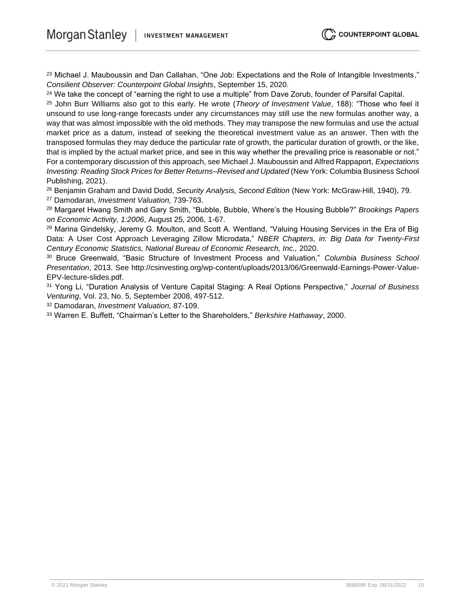<sup>23</sup> Michael J. Mauboussin and Dan Callahan, "One Job: Expectations and the Role of Intangible Investments," *Consilient Observer: Counterpoint Global Insights*, September 15, 2020.

<sup>24</sup> We take the concept of "earning the right to use a multiple" from Dave Zorub, founder of Parsifal Capital.

<sup>25</sup> John Burr Williams also got to this early. He wrote (*Theory of Investment Value*, 188): "Those who feel it unsound to use long-range forecasts under any circumstances may still use the new formulas another way, a way that was almost impossible with the old methods. They may transpose the new formulas and use the actual market price as a datum, instead of seeking the theoretical investment value as an answer. Then with the transposed formulas they may deduce the particular rate of growth, the particular duration of growth, or the like, that is implied by the actual market price, and see in this way whether the prevailing price is reasonable or not." For a contemporary discussion of this approach, see Michael J. Mauboussin and Alfred Rappaport, *Expectations Investing: Reading Stock Prices for Better Returns–Revised and Updated* (New York: Columbia Business School Publishing, 2021).

<sup>26</sup> Benjamin Graham and David Dodd, *Security Analysis, Second Edition* (New York: McGraw-Hill, 1940), 79. <sup>27</sup> Damodaran, *Investment Valuation,* 739-763.

<sup>28</sup> Margaret Hwang Smith and Gary Smith, "Bubble, Bubble, Where's the Housing Bubble?" *Brookings Papers on Economic Activity, 1:2006*, August 25, 2006, 1-67.

<sup>29</sup> Marina Gindelsky, Jeremy G. Moulton, and Scott A. Wentland, "Valuing Housing Services in the Era of Big Data: A User Cost Approach Leveraging Zillow Microdata," *NBER Chapters, in: Big Data for Twenty-First Century Economic Statistics, National Bureau of Economic Research, Inc.,* 2020.

<sup>30</sup> Bruce Greenwald, "Basic Structure of Investment Process and Valuation," *Columbia Business School Presentation*, 2013. See http://csinvesting.org/wp-content/uploads/2013/06/Greenwald-Earnings-Power-Value-EPV-lecture-slides.pdf.

<sup>31</sup> Yong Li, "Duration Analysis of Venture Capital Staging: A Real Options Perspective," *Journal of Business Venturing*, Vol. 23, No. 5, September 2008, 497-512.

<sup>32</sup> Damodaran, *Investment Valuation,* 87-109.

<sup>33</sup> Warren E. Buffett, "Chairman's Letter to the Shareholders," *Berkshire Hathaway*, 2000.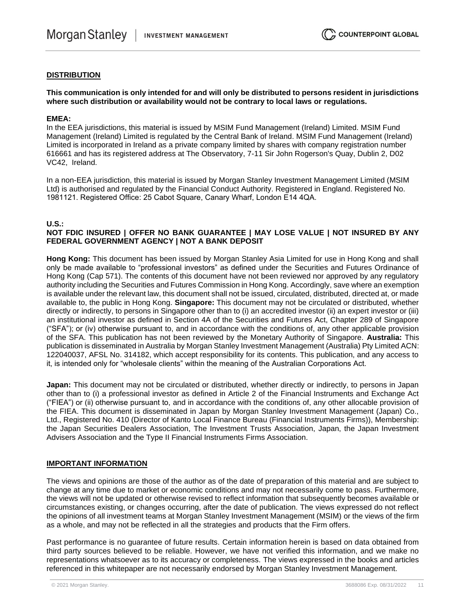#### **DISTRIBUTION**

#### **This communication is only intended for and will only be distributed to persons resident in jurisdictions where such distribution or availability would not be contrary to local laws or regulations.**

#### **EMEA:**

In the EEA jurisdictions, this material is issued by MSIM Fund Management (Ireland) Limited. MSIM Fund Management (Ireland) Limited is regulated by the Central Bank of Ireland. MSIM Fund Management (Ireland) Limited is incorporated in Ireland as a private company limited by shares with company registration number 616661 and has its registered address at The Observatory, 7-11 Sir John Rogerson's Quay, Dublin 2, D02 VC42, Ireland.

In a non-EEA jurisdiction, this material is issued by Morgan Stanley Investment Management Limited (MSIM Ltd) is authorised and regulated by the Financial Conduct Authority. Registered in England. Registered No. 1981121. Registered Office: 25 Cabot Square, Canary Wharf, London E14 4QA.

#### **U.S.:**

#### **NOT FDIC INSURED | OFFER NO BANK GUARANTEE | MAY LOSE VALUE | NOT INSURED BY ANY FEDERAL GOVERNMENT AGENCY | NOT A BANK DEPOSIT**

**Hong Kong:** This document has been issued by Morgan Stanley Asia Limited for use in Hong Kong and shall only be made available to "professional investors" as defined under the Securities and Futures Ordinance of Hong Kong (Cap 571). The contents of this document have not been reviewed nor approved by any regulatory authority including the Securities and Futures Commission in Hong Kong. Accordingly, save where an exemption is available under the relevant law, this document shall not be issued, circulated, distributed, directed at, or made available to, the public in Hong Kong. **Singapore:** This document may not be circulated or distributed, whether directly or indirectly, to persons in Singapore other than to (i) an accredited investor (ii) an expert investor or (iii) an institutional investor as defined in Section 4A of the Securities and Futures Act, Chapter 289 of Singapore ("SFA"); or (iv) otherwise pursuant to, and in accordance with the conditions of, any other applicable provision of the SFA. This publication has not been reviewed by the Monetary Authority of Singapore. **Australia:** This publication is disseminated in Australia by Morgan Stanley Investment Management (Australia) Pty Limited ACN: 122040037, AFSL No. 314182, which accept responsibility for its contents. This publication, and any access to it, is intended only for "wholesale clients" within the meaning of the Australian Corporations Act.

**Japan:** This document may not be circulated or distributed, whether directly or indirectly, to persons in Japan other than to (i) a professional investor as defined in Article 2 of the Financial Instruments and Exchange Act ("FIEA") or (ii) otherwise pursuant to, and in accordance with the conditions of, any other allocable provision of the FIEA. This document is disseminated in Japan by Morgan Stanley Investment Management (Japan) Co., Ltd., Registered No. 410 (Director of Kanto Local Finance Bureau (Financial Instruments Firms)), Membership: the Japan Securities Dealers Association, The Investment Trusts Association, Japan, the Japan Investment Advisers Association and the Type II Financial Instruments Firms Association.

#### **IMPORTANT INFORMATION**

The views and opinions are those of the author as of the date of preparation of this material and are subject to change at any time due to market or economic conditions and may not necessarily come to pass. Furthermore, the views will not be updated or otherwise revised to reflect information that subsequently becomes available or circumstances existing, or changes occurring, after the date of publication. The views expressed do not reflect the opinions of all investment teams at Morgan Stanley Investment Management (MSIM) or the views of the firm as a whole, and may not be reflected in all the strategies and products that the Firm offers.

Past performance is no guarantee of future results. Certain information herein is based on data obtained from third party sources believed to be reliable. However, we have not verified this information, and we make no representations whatsoever as to its accuracy or completeness. The views expressed in the books and articles referenced in this whitepaper are not necessarily endorsed by Morgan Stanley Investment Management.